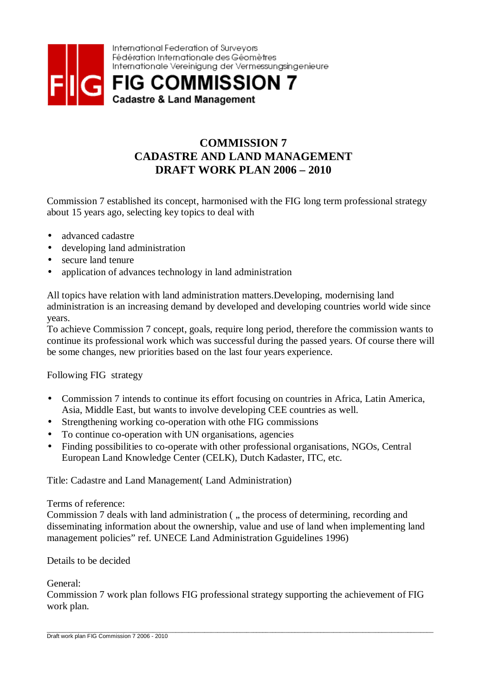

## **COMMISSION 7 CADASTRE AND LAND MANAGEMENT DRAFT WORK PLAN 2006 – 2010**

Commission 7 established its concept, harmonised with the FIG long term professional strategy about 15 years ago, selecting key topics to deal with

- advanced cadastre
- developing land administration
- secure land tenure
- application of advances technology in land administration

All topics have relation with land administration matters.Developing, modernising land administration is an increasing demand by developed and developing countries world wide since years.

To achieve Commission 7 concept, goals, require long period, therefore the commission wants to continue its professional work which was successful during the passed years. Of course there will be some changes, new priorities based on the last four years experience.

Following FIG strategy

- Commission 7 intends to continue its effort focusing on countries in Africa, Latin America, Asia, Middle East, but wants to involve developing CEE countries as well.
- Strengthening working co-operation with othe FIG commissions
- To continue co-operation with UN organisations, agencies
- Finding possibilities to co-operate with other professional organisations, NGOs, Central European Land Knowledge Center (CELK), Dutch Kadaster, ITC, etc.

Title: Cadastre and Land Management( Land Administration)

## Terms of reference:

Commission 7 deals with land administration (, the process of determining, recording and disseminating information about the ownership, value and use of land when implementing land management policies" ref. UNECE Land Administration Gguidelines 1996)

Details to be decided

General:

Commission 7 work plan follows FIG professional strategy supporting the achievement of FIG work plan.

\_\_\_\_\_\_\_\_\_\_\_\_\_\_\_\_\_\_\_\_\_\_\_\_\_\_\_\_\_\_\_\_\_\_\_\_\_\_\_\_\_\_\_\_\_\_\_\_\_\_\_\_\_\_\_\_\_\_\_\_\_\_\_\_\_\_\_\_\_\_\_\_\_\_\_\_\_\_\_\_\_\_\_\_\_\_\_\_\_\_\_\_\_\_\_\_\_\_\_\_\_\_\_\_\_\_\_\_\_\_\_\_\_\_\_\_\_\_\_\_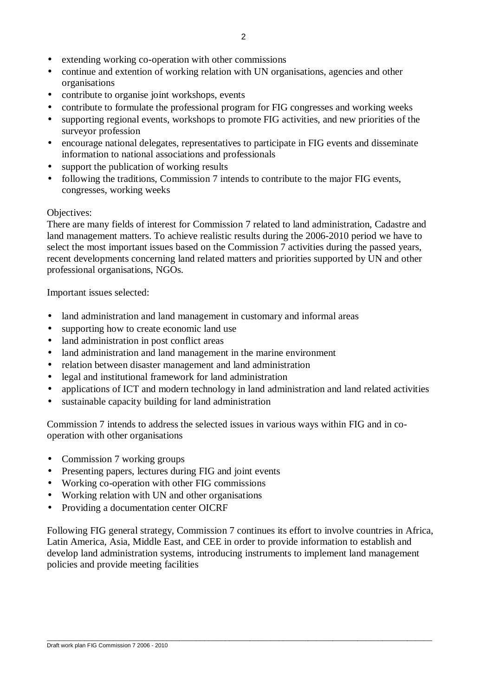- extending working co-operation with other commissions
- continue and extention of working relation with UN organisations, agencies and other organisations
- contribute to organise joint workshops, events
- contribute to formulate the professional program for FIG congresses and working weeks
- supporting regional events, workshops to promote FIG activities, and new priorities of the surveyor profession
- encourage national delegates, representatives to participate in FIG events and disseminate information to national associations and professionals
- support the publication of working results
- following the traditions, Commission 7 intends to contribute to the major FIG events, congresses, working weeks

## Objectives:

There are many fields of interest for Commission 7 related to land administration, Cadastre and land management matters. To achieve realistic results during the 2006-2010 period we have to select the most important issues based on the Commission 7 activities during the passed years, recent developments concerning land related matters and priorities supported by UN and other professional organisations, NGOs.

Important issues selected:

- land administration and land management in customary and informal areas
- supporting how to create economic land use
- land administration in post conflict areas
- land administration and land management in the marine environment
- relation between disaster management and land administration
- legal and institutional framework for land administration
- applications of ICT and modern technology in land administration and land related activities
- sustainable capacity building for land administration

Commission 7 intends to address the selected issues in various ways within FIG and in cooperation with other organisations

- Commission 7 working groups
- Presenting papers, lectures during FIG and joint events
- Working co-operation with other FIG commissions
- Working relation with UN and other organisations
- Providing a documentation center OICRF

Following FIG general strategy, Commission 7 continues its effort to involve countries in Africa, Latin America, Asia, Middle East, and CEE in order to provide information to establish and develop land administration systems, introducing instruments to implement land management policies and provide meeting facilities

 $\overline{\phantom{a}}$  , and the contribution of the contribution of the contribution of the contribution of the contribution of the contribution of the contribution of the contribution of the contribution of the contribution of the